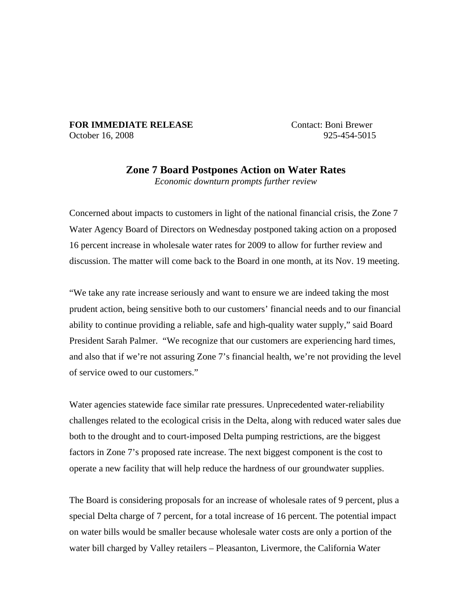## **FOR IMMEDIATE RELEASE** Contact: Boni Brewer October 16, 2008 925-454-5015

## **Zone 7 Board Postpones Action on Water Rates**  *Economic downturn prompts further review*

Concerned about impacts to customers in light of the national financial crisis, the Zone 7 Water Agency Board of Directors on Wednesday postponed taking action on a proposed 16 percent increase in wholesale water rates for 2009 to allow for further review and discussion. The matter will come back to the Board in one month, at its Nov. 19 meeting.

"We take any rate increase seriously and want to ensure we are indeed taking the most prudent action, being sensitive both to our customers' financial needs and to our financial ability to continue providing a reliable, safe and high-quality water supply," said Board President Sarah Palmer. "We recognize that our customers are experiencing hard times, and also that if we're not assuring Zone 7's financial health, we're not providing the level of service owed to our customers."

Water agencies statewide face similar rate pressures. Unprecedented water-reliability challenges related to the ecological crisis in the Delta, along with reduced water sales due both to the drought and to court-imposed Delta pumping restrictions, are the biggest factors in Zone 7's proposed rate increase. The next biggest component is the cost to operate a new facility that will help reduce the hardness of our groundwater supplies.

The Board is considering proposals for an increase of wholesale rates of 9 percent, plus a special Delta charge of 7 percent, for a total increase of 16 percent. The potential impact on water bills would be smaller because wholesale water costs are only a portion of the water bill charged by Valley retailers – Pleasanton, Livermore, the California Water